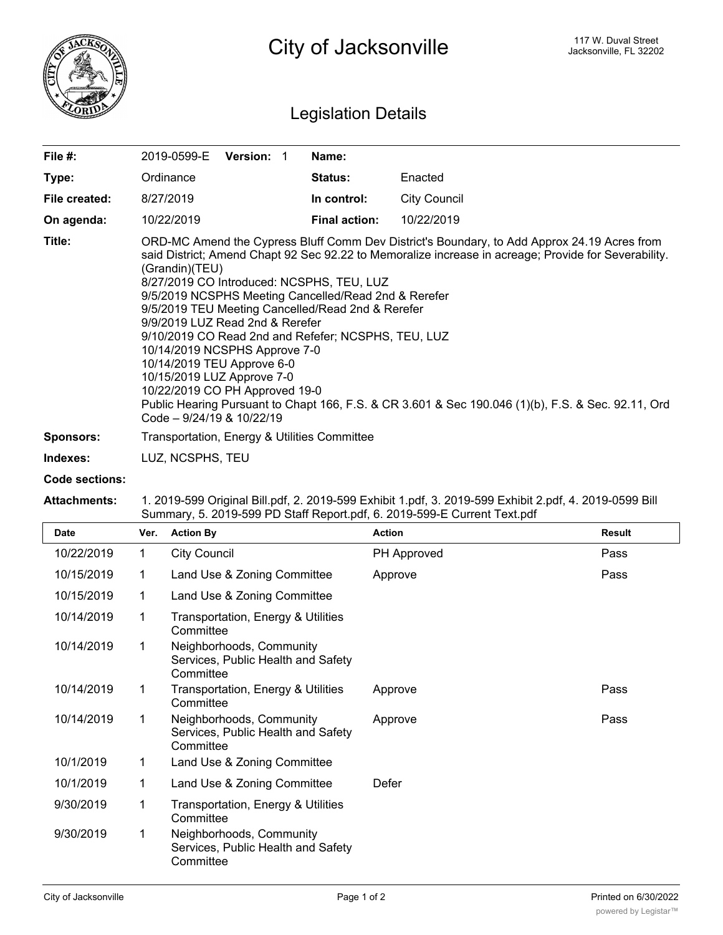

# Legislation Details

| File #:       | 2019-0599-E<br><b>Version: 1</b>                                                                                                                                                                                                                                                                                                                                                                                                                                                                                                                                                                                                                                                                                                            | Name:                |                     |  |  |  |  |
|---------------|---------------------------------------------------------------------------------------------------------------------------------------------------------------------------------------------------------------------------------------------------------------------------------------------------------------------------------------------------------------------------------------------------------------------------------------------------------------------------------------------------------------------------------------------------------------------------------------------------------------------------------------------------------------------------------------------------------------------------------------------|----------------------|---------------------|--|--|--|--|
| Type:         | Ordinance                                                                                                                                                                                                                                                                                                                                                                                                                                                                                                                                                                                                                                                                                                                                   | <b>Status:</b>       | Enacted             |  |  |  |  |
| File created: | 8/27/2019                                                                                                                                                                                                                                                                                                                                                                                                                                                                                                                                                                                                                                                                                                                                   | In control:          | <b>City Council</b> |  |  |  |  |
| On agenda:    | 10/22/2019                                                                                                                                                                                                                                                                                                                                                                                                                                                                                                                                                                                                                                                                                                                                  | <b>Final action:</b> | 10/22/2019          |  |  |  |  |
| Title:        | ORD-MC Amend the Cypress Bluff Comm Dev District's Boundary, to Add Approx 24.19 Acres from<br>said District; Amend Chapt 92 Sec 92.22 to Memoralize increase in acreage; Provide for Severability.<br>(Grandin)(TEU)<br>8/27/2019 CO Introduced: NCSPHS, TEU, LUZ<br>9/5/2019 NCSPHS Meeting Cancelled/Read 2nd & Rerefer<br>9/5/2019 TEU Meeting Cancelled/Read 2nd & Rerefer<br>9/9/2019 LUZ Read 2nd & Rerefer<br>9/10/2019 CO Read 2nd and Refefer; NCSPHS, TEU, LUZ<br>10/14/2019 NCSPHS Approve 7-0<br>10/14/2019 TEU Approve 6-0<br>10/15/2019 LUZ Approve 7-0<br>10/22/2019 CO PH Approved 19-0<br>Public Hearing Pursuant to Chapt 166, F.S. & CR 3.601 & Sec 190.046 (1)(b), F.S. & Sec. 92.11, Ord<br>Code - 9/24/19 & 10/22/19 |                      |                     |  |  |  |  |
| Sponsors:     | Transportation, Energy & Utilities Committee                                                                                                                                                                                                                                                                                                                                                                                                                                                                                                                                                                                                                                                                                                |                      |                     |  |  |  |  |

## **Indexes:** LUZ, NCSPHS, TEU

#### **Code sections:**

#### **Attachments:** 1. 2019-599 Original Bill.pdf, 2. 2019-599 Exhibit 1.pdf, 3. 2019-599 Exhibit 2.pdf, 4. 2019-0599 Bill Summary, 5. 2019-599 PD Staff Report.pdf, 6. 2019-599-E Current Text.pdf

| <b>Date</b> | Ver. | <b>Action By</b>                                                            | <b>Action</b> | <b>Result</b> |
|-------------|------|-----------------------------------------------------------------------------|---------------|---------------|
| 10/22/2019  | 1    | <b>City Council</b>                                                         | PH Approved   | Pass          |
| 10/15/2019  | 1    | Land Use & Zoning Committee                                                 | Approve       | Pass          |
| 10/15/2019  | 1    | Land Use & Zoning Committee                                                 |               |               |
| 10/14/2019  | 1    | <b>Transportation, Energy &amp; Utilities</b><br>Committee                  |               |               |
| 10/14/2019  | 1    | Neighborhoods, Community<br>Services, Public Health and Safety<br>Committee |               |               |
| 10/14/2019  | 1    | Transportation, Energy & Utilities<br>Committee                             | Approve       | Pass          |
| 10/14/2019  | 1    | Neighborhoods, Community<br>Services, Public Health and Safety<br>Committee | Approve       | Pass          |
| 10/1/2019   | 1    | Land Use & Zoning Committee                                                 |               |               |
| 10/1/2019   | 1    | Land Use & Zoning Committee                                                 | Defer         |               |
| 9/30/2019   | 1    | Transportation, Energy & Utilities<br>Committee                             |               |               |
| 9/30/2019   | 1    | Neighborhoods, Community<br>Services, Public Health and Safety<br>Committee |               |               |